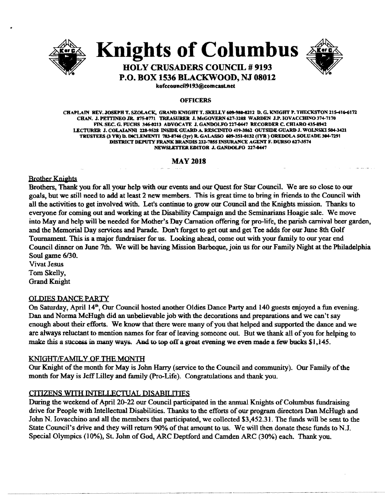

**Knights of Columbus** 



# **HOLY CRUSADERS COUNCIL # 9193 P.O. BOX 1536 BLACKWOOD, NJ 08012**

kofecound19193@eomeast.net

#### **OFFICERS**

CHAPLAIN REV. JOSEPH T. SZOLACK, GRAND KNIGHT T. SKELLY 609-980-8212 D. G. KNIGHT P. THECKSTON 215-416-6172 CHAN. J. PETTINEO JR. 875-0771 TREASURER J. McGOVERN 627-3208 WARDEN J.P. IOVACCHINO 374-7170 FIN. SEC. G. FUCHS 346-0213 ADVOCATE J. GANDOLFO 227-0447 RECORDER C. CHIARO 435-8942 LECTURER J. COLAIANNI 118-9518 INSIDE GUARD A. RESCINITO 419-3861 OUTSIDE GUARD J. WOLNSKl S04-3411 TRUSTEES (3 YR) D. DICLEMENTI 783-8746 (2yr) R. GALASSO 609-351-0132 (IYR ) OREDOLA SOLUADE 304-7291 DISTRICT DEPUTY FRANK BRANDIS 232-7855 INSURANCE AGENT F. DURSO 627-3574 NEWSLETTER EDITOR J. GANDOLFO 227-0447

## MAY 2018

### **Brother Knights**

Brothers, Thank you for all your belp with our events and our Quest for Star Council We are so close to our goals, but we still need to add at least 2 new members. This is great time to bring in friends to the Council with all the activities to get involved with. Let's continue to grow our Council and the Knights mission. Thanks to everyone for coming out and working at the Disability Campaign and the Seminarians Hoagie sale. We move into May and help will be needed for Mother's Day Carnation offering for pro-life, the parish carnival beer garden, and the Memorial Day services and Parade. Don't forget to get out and get Tee adds for our June 8th Golf Tournament. This is a major fundraiser for us. Looking ahead, come out with your family to our year end Council dinner on June 7th. We will be baving Mission Barbeque, join us for our Family Night at the Philadelphia Soul game *6/30.* 

Vivat Jesus Tom Skelly, Grand Knight

## OLDIES DANCE PARTY

On Saturday, April 14<sup>th</sup>, Our Council hosted another Oldies Dance Party and 140 guests enjoyed a fun evening. Dan and Norma McHugh did an unbelievable job with the decorations and preparations and we can't say enough about their efforts. We know that there were many ofyou that helped and supported the dance and we are always reluctant to mention names for fear of leaving someone out. But we thank all of you for helping to make this a success in many ways. And to top off a great evening we even made a few bucks  $$1,145$ .

#### KNIGHT/FAMILY OF THE MONTH

Our Knight of the month for May is John Harry (service to the Council and community). Our Family of the month for May is Jeff Lilley and family (Pro-Life). Congratulations and thank you.

## CITIZENS WITH INTELLECTUAL DISABILITIES

During the weekend of April 20-22 our Council participated in the annual Knights of Columbus fundraising drive for People with Intellectual Disabilities. Thanks to the efforts ofour program directors Dan McHugh and John N. Iovacchino and all the members that participated, we collected \$3,452.31. The funds will be sent to the State Council's drive and they will return 90% of that amount to us. We will then donate these funds to N.J. Special Olympics (10%), St. John of God, ARC Deptford and Camden ARC (30%) each. Thank you.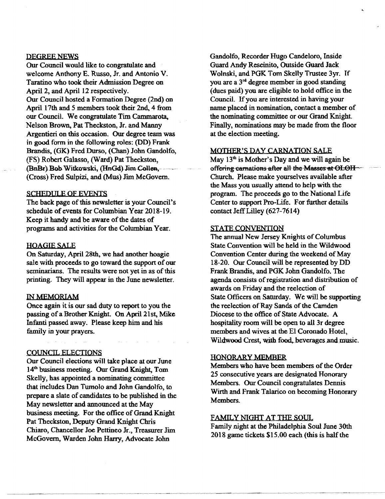#### DEGREE NEWS

Our Council would like to congratulate and welcome Anthony E. Russo, Jr. and Antonio V. Taratino who took their Admission Degree on Apri12, and April 12 respectively. Our Council hosted a Formation Degree (2nd) on April 17th and 5 members took their 2nd, 4 from our Council. We congratulate Tim Cammarota, Nelson Brown, Pat Theckston, Jr. and Manny Argentieri on this occasion. Our degree team was in good form in the following roles: (DD) Frank Brandis, (GK) Fred Durso, (Chan) John Gandolfo, (FS) Robert Galasso, (Ward) Pat Theckston, (BnBr) Bob Witkowski, (HnGd) Jim Collen, (Cross) Fred Sulpizi, and (Mus) Jim McGovern.

#### SCHEDULE OF EVENTS

The back page of this newsletter is your Council's schedule of events for Columbian Year 2018-19. Keep it handy and be aware of the dates of programs and activities for the Columbian Year.

## HOAGIE SALE

On Saturday, April 28th. we had another hoagie sale with proceeds to go toward the support of our seminarians. The results were not yet in as of this printing. They will appear in the June newsletter.

## IN MEMORIAM

Once again it is our sad duty to report to you the passing of a Brother Knight. On April 21st, Mike Infanti passed away. Please keep him and his family in your prayers.

#### COUNCIL ELECTIONS

Our Council elections will take place at our June 14<sup>th</sup> business meeting. Our Grand Knight, Tom Skelly, has appointed a nominating committee that includes Dan Twnolo and John Gandolfo, to prepare a slate of candidates to be published in the May newsletter and announced at the May business meeting. For the office of Grand Knight Pat Theckston, Deputy Grand Knight Chris Chiaro, Chancellor Joe Pettineo Jr., Treasurer Jim McGovern, Warden John Harry, Advocate John

Gandolfo, Recorder Hugo Candeloro. Inside Guard Andy Rescinito, Outside Guard Jack Wolnski, and PGK Tom Skelly Trustee 3yr. If you are a 3<sup>rd</sup> degree member in good standing (dues paid) you are eligible to hold office in the Council. If you are interested in having your name placed in nomination, contact a member of the nominating committee or our Grand Knight. Finally, nominations may be made from the floor at the election meeting.

## MOTHER'S DAY CARNATION SALE

May  $13<sup>th</sup>$  is Mother's Day and we will again be offering carnations after all the Masses at OLOH ~ Church. Please make yourselves available after the Mass you usually attend to help with the program. The proceeds go to the National Life Center to support Pro-Life. For further details contact Jeff Lilley (627-7614)

### STATE CONVENTION

The annual New Jersey Knights of Columbus State Convention will be held in the Wildwood Convention Center during the weekend of May 18-20. Our Council will be represented by DD Frank Brandis, and PGK John Gandolfo. The agenda consists of registration and distribution of awards on Friday and the reelection of State Officers on Saturday. We will be supporting the reelection of Ray Sands of the Camden Diocese to the office of State Advocate. A hospitality room will be open to all 3r degree members and wives at the El Coronado Hotel, Wildwood Crest, with food, beverages and music.

## HONORARY MEMBER

Members who have been members of the Order 25 consecutive years are designated Honorary Members. Our Council congratulates Dennis Wirth and Frank Talarico on becoming Honorary Members.

### FAMILY NIGHT AT THE SOUL

Family night at the Philadelphia Soul June 30th 2018 game tickets \$15.00 each (this is half the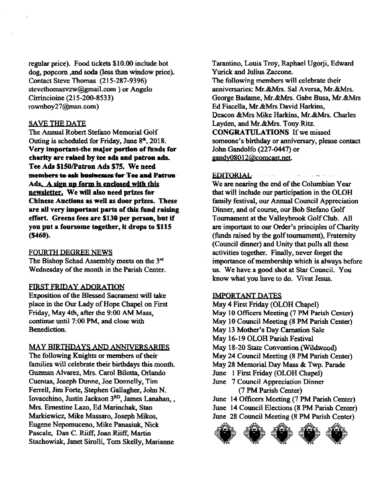regular price). Food tickets \$10.00 include hot dog, popcorn ,and soda (less than window price). Contact Steve Thomas (21 5-287-9396) stevethomasvzw@gmai1.com ) or Angelo Cirrincioine (215-200-8533) rownboy27@msn.com)

## SAVE THE DATE

The Annual Robert Stefano Memorial Golf Outing is scheduled for Friday, June  $8<sup>th</sup>$ , 2018. Very important-the major portion of funds for charity are raised by tee ads and patron ads. Tee Ads \$150/Patron Ads \$75. We need members to ask businesses for Tee and PatroB. Ads. A sign up form is enclosed with this newsletter, We will also need prizes for Chinese Auctions as well as door prizes. These are all very important parts of this fund raising effort. Greens fees are \$130 per person, but if you put a foursome together, it drops to \$115 (\$460).

### FOURTH DEGREE NEWS

The Bishop Schad Assembly meets on the  $3<sup>rd</sup>$ Wednesday of the month in the Parish Center.

#### FIRST FRIDAY ADORATION

Exposition of the Blessed Sacrament will take place in the Our Lady of Hope Chapel on First Friday, May 4th, after the 9:00 AM Mass, continue until 7:00 PM, and close with Benediction.

## MAY BIRTHDAYS AND ANNIVERSARIES

The following Knights or members of their families will celebrate their birthdays this month. Guzman Alvarez, Mrs. Carol Bilotta, Orlando Cuentas, Joseph Dunne, Joe Donnelly, Tim Ferrell, Jim Forte, Stephen Gallagher, John N. Iovacchino, Justin Jackson 3RD, James Lanahan, , Mrs. Ernestine Lazo, Ed Marinchak, Stan Markiewicz, Mike Massaro, Joseph Mikos, Eugene Nepomuceno, Mike Panasiuk, Nick Pascale, Dan C. Riiff, Joan Riiff, Martin Stachowiak, Janet Sirolli, Tom Skelly, Marianne

Tarantino, Louis Troy, Raphael Ugorji, Edward Yurick and Julius Zaccone. The following members will celebrate their anniversaries: Mr.&Mrs. Sal Aversa, Mr.&Mrs, George Badame. Mr.&Mrs. Gabe Busa, Mr.&Mrs Ed Fiscella, Mr.&Mrs David Harkins, Deacon &Mrs Mike Harkins, Mr.&Mrs. Charles Layden, and Mr.&Mr8. Tony Ritz. CONGRATULATIONS If we missed someone's birthday or anniversary, please contact John Gandolfo (227-0447) or gandy08012@comcast.net.

#### EDlTQRlAL

We are nearing the end of the Columbian Year that will include our participation in the OLOH family festival, our Annual Council Appreciation Dinner, and of course, our Bob Stefano Golf Tournament at the Valleybrook GolfClub. All are important to our Order's principles of Charity (funds raised by the golf tournament), Fraternity (Council dinner) and Unity that pulls all these activities together. Finally. never forget the importance of membership which is always before us. We have a good shot at Star Council. You know what you have to do. Vivat Jesus.

الهبطور والأوال والأفار المتناد المتناد والمتحاربة

## IMPORTANT DATES

June 14 Officers Meeting (7 PM Parish Center)<br>June 14 Council Elections (8 PM Parish Center)<br>June 28 Council Meeting (8 PM Parish Center)<br> $\overbrace{\text{FPR}}$ May 4 First Friday (OLOH Chapel) May 10 Officers Meeting (7 PM Parish Center) May 10 Council Meeting (8 PM Parish Center) May 13 Mother's Day Carnation Sale May 16-19 OLOH Parish Festival May 18-20 State Convention (Wildwood) May 24 Council Meeting (8 PM Parish Center) May 28 Memorial Day Mass & Twp. Parade June I First Friday (OLOH Chapel) June 7 Council Appreciation Dinner (7 PM Parish Center) June 14 Officers Meeting (7 PM Parish Center) June 14 Council Elections (8 PM Parish Center) June 28 Council Meeting (8 PM Parish Center)